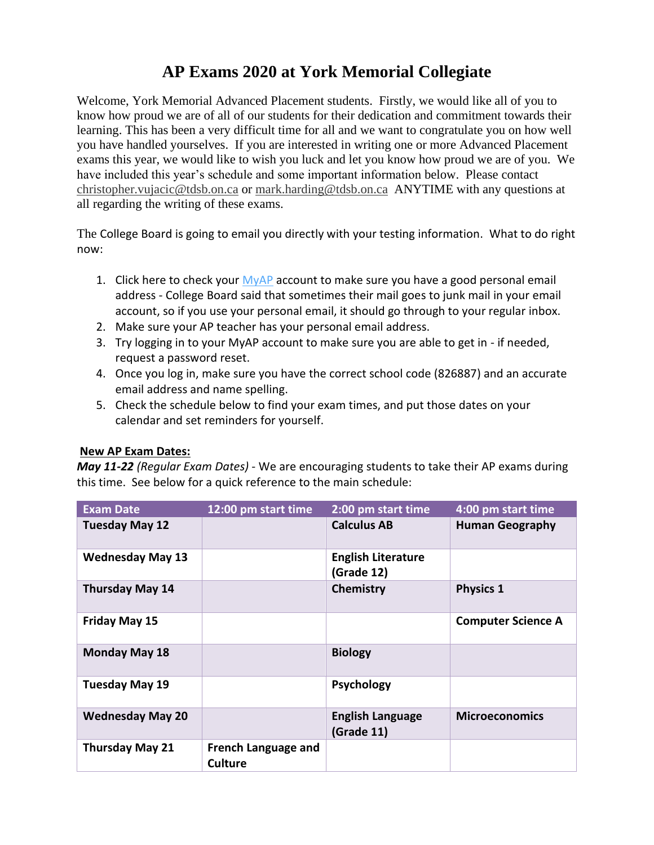## **AP Exams 2020 at York Memorial Collegiate**

Welcome, York Memorial Advanced Placement students. Firstly, we would like all of you to know how proud we are of all of our students for their dedication and commitment towards their learning. This has been a very difficult time for all and we want to congratulate you on how well you have handled yourselves. If you are interested in writing one or more Advanced Placement exams this year, we would like to wish you luck and let you know how proud we are of you. We have included this year's schedule and some important information below. Please contact [christopher.vujacic@tdsb.on.ca](mailto:christopher.vujacic@tdsb.on.ca) or [mark.harding@tdsb.on.ca](mailto:mark.harding@tdsb.on.ca) ANYTIME with any questions at all regarding the writing of these exams.

The College Board is going to email you directly with your testing information. What to do right now:

- 1. Click here to check your [MyAP](https://myap.collegeboard.org/login) account to make sure you have a good personal email address - College Board said that sometimes their mail goes to junk mail in your email account, so if you use your personal email, it should go through to your regular inbox.
- 2. Make sure your AP teacher has your personal email address.
- 3. Try logging in to your MyAP account to make sure you are able to get in if needed, request a password reset.
- 4. Once you log in, make sure you have the correct school code (826887) and an accurate email address and name spelling.
- 5. Check the schedule below to find your exam times, and put those dates on your calendar and set reminders for yourself.

## **New AP Exam Dates:**

*May 11-22 (Regular Exam Dates)* - We are encouraging students to take their AP exams during this time. See below for a quick reference to the main schedule:

| <b>Exam Date</b>        | 12:00 pm start time                          | 2:00 pm start time                      | 4:00 pm start time        |
|-------------------------|----------------------------------------------|-----------------------------------------|---------------------------|
| <b>Tuesday May 12</b>   |                                              | <b>Calculus AB</b>                      | <b>Human Geography</b>    |
| <b>Wednesday May 13</b> |                                              | <b>English Literature</b><br>(Grade 12) |                           |
| <b>Thursday May 14</b>  |                                              | Chemistry                               | <b>Physics 1</b>          |
| <b>Friday May 15</b>    |                                              |                                         | <b>Computer Science A</b> |
| <b>Monday May 18</b>    |                                              | <b>Biology</b>                          |                           |
| <b>Tuesday May 19</b>   |                                              | <b>Psychology</b>                       |                           |
| <b>Wednesday May 20</b> |                                              | <b>English Language</b><br>(Grade 11)   | <b>Microeconomics</b>     |
| <b>Thursday May 21</b>  | <b>French Language and</b><br><b>Culture</b> |                                         |                           |